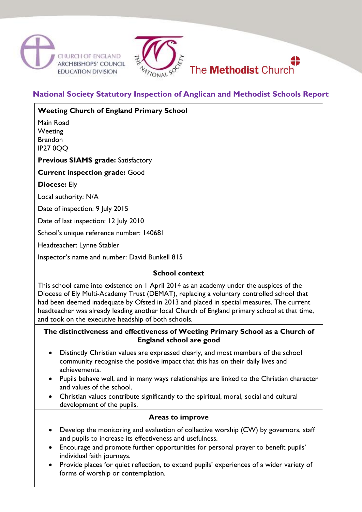



**National Society Statutory Inspection of Anglican and Methodist Schools Report**

**Weeting Church of England Primary School**

Main Road **Weeting** Brandon IP27 0QQ

**Previous SIAMS grade:** Satisfactory

**Current inspection grade:** Good

**Diocese:** Ely

Local authority: N/A

Date of inspection: 9 July 2015

Date of last inspection: 12 July 2010

School's unique reference number: 140681

Headteacher: Lynne Stabler

Inspector's name and number: David Bunkell 815

#### **School context**

This school came into existence on 1 April 2014 as an academy under the auspices of the Diocese of Ely Multi-Academy Trust (DEMAT), replacing a voluntary controlled school that had been deemed inadequate by Ofsted in 2013 and placed in special measures. The current headteacher was already leading another local Church of England primary school at that time, and took on the executive headship of both schools.

#### **The distinctiveness and effectiveness of Weeting Primary School as a Church of England school are good**

- Distinctly Christian values are expressed clearly, and most members of the school community recognise the positive impact that this has on their daily lives and achievements.
- Pupils behave well, and in many ways relationships are linked to the Christian character and values of the school.
- Christian values contribute significantly to the spiritual, moral, social and cultural development of the pupils.

#### **Areas to improve**

- Develop the monitoring and evaluation of collective worship (CW) by governors, staff and pupils to increase its effectiveness and usefulness.
- Encourage and promote further opportunities for personal prayer to benefit pupils' individual faith journeys.
- Provide places for quiet reflection, to extend pupils' experiences of a wider variety of forms of worship or contemplation.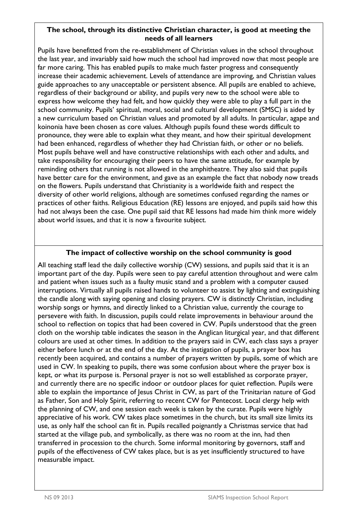## **The school, through its distinctive Christian character, is good at meeting the needs of all learners**

Pupils have benefitted from the re-establishment of Christian values in the school throughout the last year, and invariably said how much the school had improved now that most people are far more caring. This has enabled pupils to make much faster progress and consequently increase their academic achievement. Levels of attendance are improving, and Christian values guide approaches to any unacceptable or persistent absence. All pupils are enabled to achieve, regardless of their background or ability, and pupils very new to the school were able to express how welcome they had felt, and how quickly they were able to play a full part in the school community. Pupils' spiritual, moral, social and cultural development (SMSC) is aided by a new curriculum based on Christian values and promoted by all adults. In particular, agape and koinonia have been chosen as core values. Although pupils found these words difficult to pronounce, they were able to explain what they meant, and how their spiritual development had been enhanced, regardless of whether they had Christian faith, or other or no beliefs. Most pupils behave well and have constructive relationships with each other and adults, and take responsibility for encouraging their peers to have the same attitude, for example by reminding others that running is not allowed in the amphitheatre. They also said that pupils have better care for the environment, and gave as an example the fact that nobody now treads on the flowers. Pupils understand that Christianity is a worldwide faith and respect the diversity of other world religions, although are sometimes confused regarding the names or practices of other faiths. Religious Education (RE) lessons are enjoyed, and pupils said how this had not always been the case. One pupil said that RE lessons had made him think more widely about world issues, and that it is now a favourite subject.

# **The impact of collective worship on the school community is good**

All teaching staff lead the daily collective worship (CW) sessions, and pupils said that it is an important part of the day. Pupils were seen to pay careful attention throughout and were calm and patient when issues such as a faulty music stand and a problem with a computer caused interruptions. Virtually all pupils raised hands to volunteer to assist by lighting and extinguishing the candle along with saying opening and closing prayers. CW is distinctly Christian, including worship songs or hymns, and directly linked to a Christian value, currently the courage to persevere with faith. In discussion, pupils could relate improvements in behaviour around the school to reflection on topics that had been covered in CW. Pupils understood that the green cloth on the worship table indicates the season in the Anglican liturgical year, and that different colours are used at other times. In addition to the prayers said in CW, each class says a prayer either before lunch or at the end of the day. At the instigation of pupils, a prayer box has recently been acquired, and contains a number of prayers written by pupils, some of which are used in CW. In speaking to pupils, there was some confusion about where the prayer box is kept, or what its purpose is. Personal prayer is not so well established as corporate prayer, and currently there are no specific indoor or outdoor places for quiet reflection. Pupils were able to explain the importance of Jesus Christ in CW, as part of the Trinitarian nature of God as Father, Son and Holy Spirit, referring to recent CW for Pentecost. Local clergy help with the planning of CW, and one session each week is taken by the curate. Pupils were highly appreciative of his work. CW takes place sometimes in the church, but its small size limits its use, as only half the school can fit in. Pupils recalled poignantly a Christmas service that had started at the village pub, and symbolically, as there was no room at the inn, had then transferred in procession to the church. Some informal monitoring by governors, staff and pupils of the effectiveness of CW takes place, but is as yet insufficiently structured to have measurable impact.